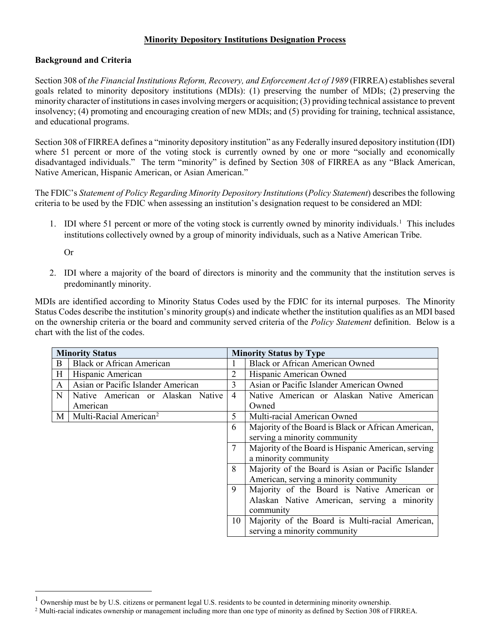#### **Minority Depository Institutions Designation Process**

### **Background and Criteria**

Section 308 of *the Financial Institutions Reform, Recovery, and Enforcement Act of 1989* (FIRREA) establishes several goals related to minority depository institutions (MDIs): (1) preserving the number of MDIs; (2) preserving the minority character of institutions in cases involving mergers or acquisition; (3) providing technical assistance to prevent insolvency; (4) promoting and encouraging creation of new MDIs; and (5) providing for training, technical assistance, and educational programs.

Section 308 of FIRREA defines a "minority depository institution" as any Federally insured depository institution (IDI) where 51 percent or more of the voting stock is currently owned by one or more "socially and economically disadvantaged individuals." The term "minority" is defined by Section 308 of FIRREA as any "Black American, Native American, Hispanic American, or Asian American."

The FDIC's *Statement of Policy Regarding Minority Depository Institutions* (*Policy Statement*) describes the following criteria to be used by the FDIC when assessing an institution's designation request to be considered an MDI:

[1](#page-0-0). IDI where 51 percent or more of the voting stock is currently owned by minority individuals.<sup>1</sup> This includes institutions collectively owned by a group of minority individuals, such as a Native American Tribe.

Or

2. IDI where a majority of the board of directors is minority and the community that the institution serves is predominantly minority.

MDIs are identified according to Minority Status Codes used by the FDIC for its internal purposes. The Minority Status Codes describe the institution's minority group(s) and indicate whether the institution qualifies as an MDI based on the ownership criteria or the board and community served criteria of the *Policy Statement* definition. Below is a chart with the list of the codes.

| <b>Minority Status</b> |                                    |                | <b>Minority Status by Type</b>                      |  |
|------------------------|------------------------------------|----------------|-----------------------------------------------------|--|
| B.                     | <b>Black or African American</b>   |                | <b>Black or African American Owned</b>              |  |
| H                      | Hispanic American                  | 2              | Hispanic American Owned                             |  |
| $\mathsf{A}$           | Asian or Pacific Islander American | 3              | Asian or Pacific Islander American Owned            |  |
| N                      | Native American or Alaskan Native  | $\overline{4}$ | Native American or Alaskan Native American          |  |
|                        | American                           |                | Owned                                               |  |
| M                      | Multi-Racial American <sup>2</sup> | 5              | Multi-racial American Owned                         |  |
|                        |                                    | 6              | Majority of the Board is Black or African American, |  |
|                        |                                    |                | serving a minority community                        |  |
|                        |                                    |                | Majority of the Board is Hispanic American, serving |  |
|                        |                                    |                | a minority community                                |  |
|                        |                                    | 8              | Majority of the Board is Asian or Pacific Islander  |  |
|                        |                                    |                | American, serving a minority community              |  |
|                        |                                    | 9              | Majority of the Board is Native American or         |  |
|                        |                                    |                | Alaskan Native American, serving a minority         |  |
|                        |                                    |                | community                                           |  |
|                        |                                    | 10             | Majority of the Board is Multi-racial American,     |  |
|                        |                                    |                | serving a minority community                        |  |

<span id="page-0-0"></span><sup>1</sup> Ownership must be by U.S. citizens or permanent legal U.S. residents to be counted in determining minority ownership.

<span id="page-0-1"></span><sup>&</sup>lt;sup>2</sup> Multi-racial indicates ownership or management including more than one type of minority as defined by Section 308 of FIRREA.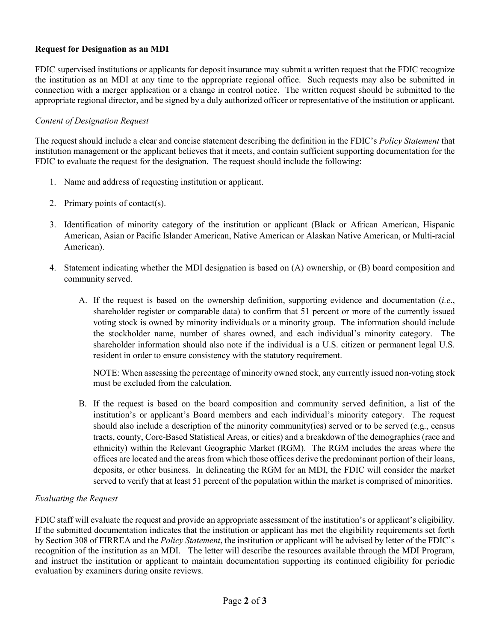# **Request for Designation as an MDI**

FDIC supervised institutions or applicants for deposit insurance may submit a written request that the FDIC recognize the institution as an MDI at any time to the appropriate regional office. Such requests may also be submitted in connection with a merger application or a change in control notice. The written request should be submitted to the appropriate regional director, and be signed by a duly authorized officer or representative of the institution or applicant.

## *Content of Designation Request*

The request should include a clear and concise statement describing the definition in the FDIC's *Policy Statement* that institution management or the applicant believes that it meets, and contain sufficient supporting documentation for the FDIC to evaluate the request for the designation. The request should include the following:

- 1. Name and address of requesting institution or applicant.
- 2. Primary points of contact(s).
- 3. Identification of minority category of the institution or applicant (Black or African American, Hispanic American, Asian or Pacific Islander American, Native American or Alaskan Native American, or Multi-racial American).
- 4. Statement indicating whether the MDI designation is based on (A) ownership, or (B) board composition and community served.
	- A. If the request is based on the ownership definition, supporting evidence and documentation (*i.e*., shareholder register or comparable data) to confirm that 51 percent or more of the currently issued voting stock is owned by minority individuals or a minority group. The information should include the stockholder name, number of shares owned, and each individual's minority category. The shareholder information should also note if the individual is a U.S. citizen or permanent legal U.S. resident in order to ensure consistency with the statutory requirement.

NOTE: When assessing the percentage of minority owned stock, any currently issued non-voting stock must be excluded from the calculation.

B. If the request is based on the board composition and community served definition, a list of the institution's or applicant's Board members and each individual's minority category. The request should also include a description of the minority community(ies) served or to be served (e.g., census tracts, county, Core-Based Statistical Areas, or cities) and a breakdown of the demographics (race and ethnicity) within the Relevant Geographic Market (RGM). The RGM includes the areas where the offices are located and the areas from which those offices derive the predominant portion of their loans, deposits, or other business. In delineating the RGM for an MDI, the FDIC will consider the market served to verify that at least 51 percent of the population within the market is comprised of minorities.

## *Evaluating the Request*

FDIC staff will evaluate the request and provide an appropriate assessment of the institution's or applicant's eligibility. If the submitted documentation indicates that the institution or applicant has met the eligibility requirements set forth by Section 308 of FIRREA and the *Policy Statement*, the institution or applicant will be advised by letter of the FDIC's recognition of the institution as an MDI. The letter will describe the resources available through the MDI Program, and instruct the institution or applicant to maintain documentation supporting its continued eligibility for periodic evaluation by examiners during onsite reviews.